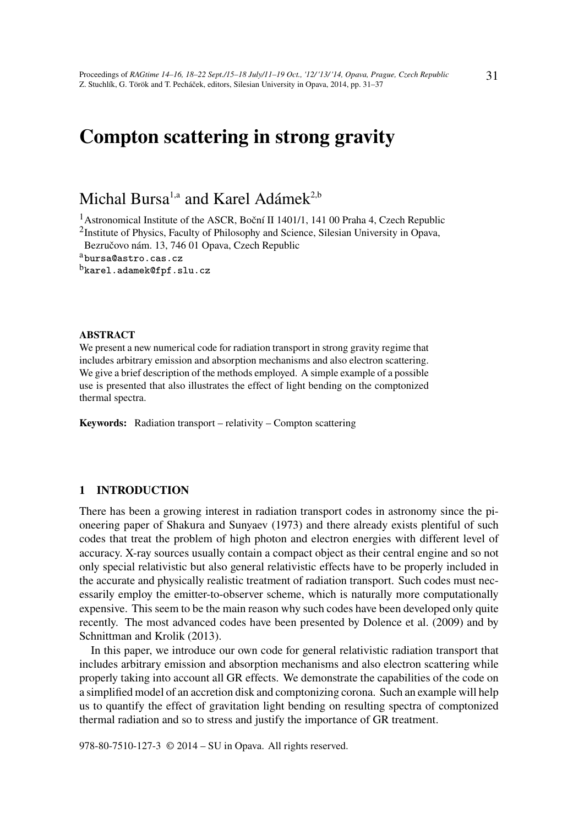# Compton scattering in strong gravity

## Michal Bursa<sup>1,a</sup> and Karel Adámek<sup>2,b</sup>

<sup>1</sup> Astronomical Institute of the ASCR, Boční II 1401/1, 141 00 Praha 4, Czech Republic

<sup>2</sup>Institute of Physics, Faculty of Philosophy and Science, Silesian University in Opava, Bezručovo nám. 13, 746 01 Opava, Czech Republic

<sup>a</sup>bursa@astro.cas.cz

<sup>b</sup>karel.adamek@fpf.slu.cz

#### ABSTRACT

We present a new numerical code for radiation transport in strong gravity regime that includes arbitrary emission and absorption mechanisms and also electron scattering. We give a brief description of the methods employed. A simple example of a possible use is presented that also illustrates the effect of light bending on the comptonized thermal spectra.

Keywords: Radiation transport – relativity – Compton scattering

## 1 INTRODUCTION

There has been a growing interest in radiation transport codes in astronomy since the pioneering paper of Shakura and Sunyaev (1973) and there already exists plentiful of such codes that treat the problem of high photon and electron energies with different level of accuracy. X-ray sources usually contain a compact object as their central engine and so not only special relativistic but also general relativistic effects have to be properly included in the accurate and physically realistic treatment of radiation transport. Such codes must necessarily employ the emitter-to-observer scheme, which is naturally more computationally expensive. This seem to be the main reason why such codes have been developed only quite recently. The most advanced codes have been presented by Dolence et al. (2009) and by Schnittman and Krolik (2013).

In this paper, we introduce our own code for general relativistic radiation transport that includes arbitrary emission and absorption mechanisms and also electron scattering while properly taking into account all GR effects. We demonstrate the capabilities of the code on a simplified model of an accretion disk and comptonizing corona. Such an example will help us to quantify the effect of gravitation light bending on resulting spectra of comptonized thermal radiation and so to stress and justify the importance of GR treatment.

978-80-7510-127-3 © 2014 – SU in Opava. All rights reserved.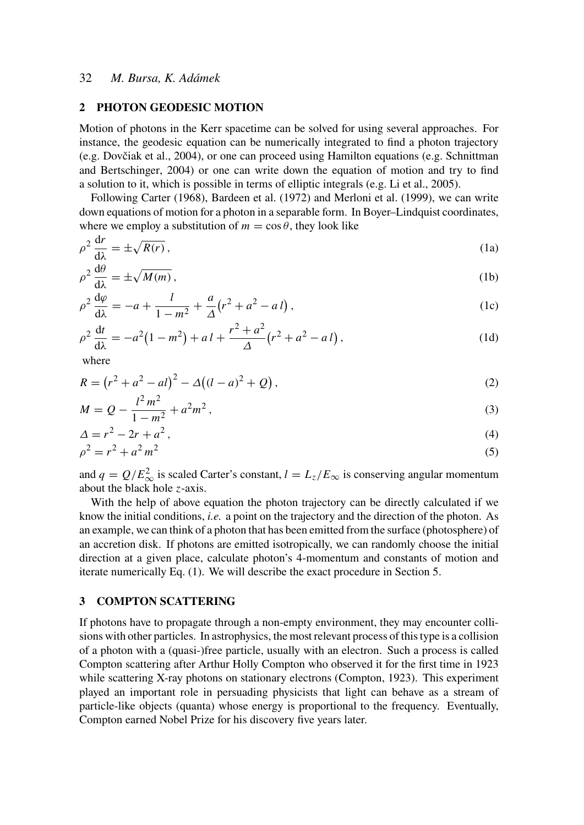## 32 *M. Bursa, K. Adámek*

#### 2 PHOTON GEODESIC MOTION

Motion of photons in the Kerr spacetime can be solved for using several approaches. For instance, the geodesic equation can be numerically integrated to find a photon trajectory (e.g. Dovčiak et al., 2004), or one can proceed using Hamilton equations (e.g. Schnittman and Bertschinger, 2004) or one can write down the equation of motion and try to find a solution to it, which is possible in terms of elliptic integrals (e.g. Li et al., 2005).

Following Carter (1968), Bardeen et al. (1972) and Merloni et al. (1999), we can write down equations of motion for a photon in a separable form. In Boyer–Lindquist coordinates, where we employ a substitution of  $m = \cos \theta$ , they look like

$$
\rho^2 \frac{dr}{d\lambda} = \pm \sqrt{R(r)}\,,\tag{1a}
$$

$$
\rho^2 \frac{d\theta}{d\lambda} = \pm \sqrt{M(m)}\,,\tag{1b}
$$

$$
\rho^2 \frac{d\varphi}{d\lambda} = -a + \frac{l}{1 - m^2} + \frac{a}{\Delta} (r^2 + a^2 - a l) , \qquad (1c)
$$

$$
\rho^2 \frac{dt}{d\lambda} = -a^2(1 - m^2) + a l + \frac{r^2 + a^2}{\Delta}(r^2 + a^2 - a l),\tag{1d}
$$

where

$$
R = (r2 + a2 - al)2 - \Delta((l - a)2 + Q),
$$
\n(2)

$$
M = Q - \frac{l^2 m^2}{1 - m^2} + a^2 m^2,
$$
\t(3)

$$
\Delta = r^2 - 2r + a^2,\tag{4}
$$

$$
\rho^2 = r^2 + a^2 m^2 \tag{5}
$$

and  $q = Q/E_{\infty}^2$  is scaled Carter's constant,  $l = L_z/E_{\infty}$  is conserving angular momentum about the black hole *z*-axis.

With the help of above equation the photon trajectory can be directly calculated if we know the initial conditions, *i.e.* a point on the trajectory and the direction of the photon. As an example, we can think of a photon that has been emitted from the surface (photosphere) of an accretion disk. If photons are emitted isotropically, we can randomly choose the initial direction at a given place, calculate photon's 4-momentum and constants of motion and iterate numerically Eq. (1). We will describe the exact procedure in Section 5.

#### 3 COMPTON SCATTERING

If photons have to propagate through a non-empty environment, they may encounter collisions with other particles. In astrophysics, the most relevant process of this type is a collision of a photon with a (quasi-)free particle, usually with an electron. Such a process is called Compton scattering after Arthur Holly Compton who observed it for the first time in 1923 while scattering X-ray photons on stationary electrons (Compton, 1923). This experiment played an important role in persuading physicists that light can behave as a stream of particle-like objects (quanta) whose energy is proportional to the frequency. Eventually, Compton earned Nobel Prize for his discovery five years later.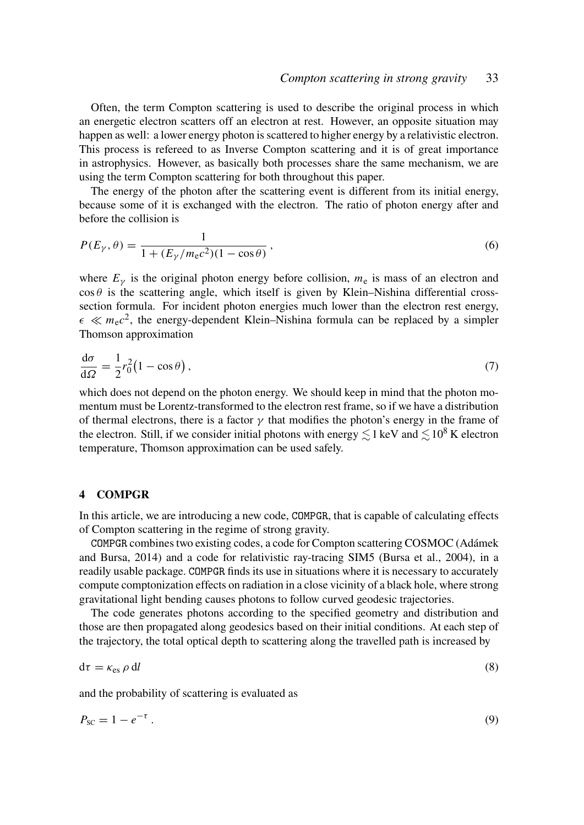Often, the term Compton scattering is used to describe the original process in which an energetic electron scatters off an electron at rest. However, an opposite situation may happen as well: a lower energy photon is scattered to higher energy by a relativistic electron. This process is refereed to as Inverse Compton scattering and it is of great importance in astrophysics. However, as basically both processes share the same mechanism, we are using the term Compton scattering for both throughout this paper.

The energy of the photon after the scattering event is different from its initial energy, because some of it is exchanged with the electron. The ratio of photon energy after and before the collision is

$$
P(E_{\gamma}, \theta) = \frac{1}{1 + (E_{\gamma}/m_{\rm e}c^2)(1 - \cos\theta)},
$$
\n(6)

where  $E<sub>y</sub>$  is the original photon energy before collision,  $m<sub>e</sub>$  is mass of an electron and  $\cos \theta$  is the scattering angle, which itself is given by Klein–Nishina differential crosssection formula. For incident photon energies much lower than the electron rest energy,  $\epsilon \ll m_e c^2$ , the energy-dependent Klein–Nishina formula can be replaced by a simpler Thomson approximation

$$
\frac{\mathrm{d}\sigma}{\mathrm{d}\Omega} = \frac{1}{2}r_0^2 \left(1 - \cos\theta\right),\tag{7}
$$

which does not depend on the photon energy. We should keep in mind that the photon momentum must be Lorentz-transformed to the electron rest frame, so if we have a distribution of thermal electrons, there is a factor  $\gamma$  that modifies the photon's energy in the frame of the electron. Still, if we consider initial photons with energy  $\leq 1$  keV and  $\leq 10^8$  K electron temperature, Thomson approximation can be used safely.

#### 4 COMPGR

In this article, we are introducing a new code, COMPGR, that is capable of calculating effects of Compton scattering in the regime of strong gravity.

COMPGR combines two existing codes, a code for Compton scattering COSMOC (Adámek and Bursa, 2014) and a code for relativistic ray-tracing SIM5 (Bursa et al., 2004), in a readily usable package. COMPGR finds its use in situations where it is necessary to accurately compute comptonization effects on radiation in a close vicinity of a black hole, where strong gravitational light bending causes photons to follow curved geodesic trajectories.

The code generates photons according to the specified geometry and distribution and those are then propagated along geodesics based on their initial conditions. At each step of the trajectory, the total optical depth to scattering along the travelled path is increased by

$$
d\tau = \kappa_{es} \, \rho \, dl \tag{8}
$$

and the probability of scattering is evaluated as

$$
P_{\rm SC} = 1 - e^{-\tau} \tag{9}
$$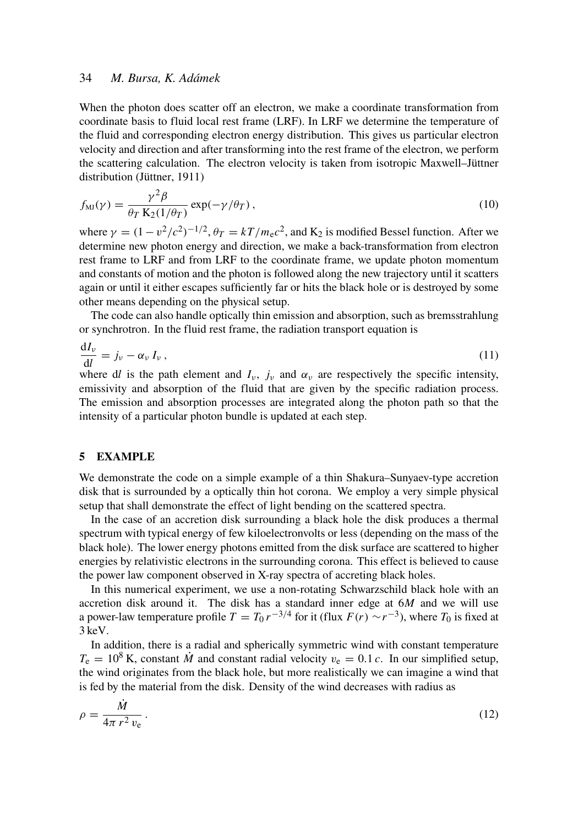### 34 *M. Bursa, K. Adámek*

When the photon does scatter off an electron, we make a coordinate transformation from coordinate basis to fluid local rest frame (LRF). In LRF we determine the temperature of the fluid and corresponding electron energy distribution. This gives us particular electron velocity and direction and after transforming into the rest frame of the electron, we perform the scattering calculation. The electron velocity is taken from isotropic Maxwell–Jüttner distribution (Jüttner, 1911)

$$
f_{\rm MJ}(\gamma) = \frac{\gamma^2 \beta}{\theta_T \, \mathrm{K}_2(1/\theta_T)} \exp(-\gamma/\theta_T) \,,\tag{10}
$$

where  $\gamma = (1 - v^2/c^2)^{-1/2}$ ,  $\theta_T = kT/m_e c^2$ , and K<sub>2</sub> is modified Bessel function. After we determine new photon energy and direction, we make a back-transformation from electron rest frame to LRF and from LRF to the coordinate frame, we update photon momentum and constants of motion and the photon is followed along the new trajectory until it scatters again or until it either escapes sufficiently far or hits the black hole or is destroyed by some other means depending on the physical setup.

The code can also handle optically thin emission and absorption, such as bremsstrahlung or synchrotron. In the fluid rest frame, the radiation transport equation is

$$
\frac{\mathrm{d}I_{\nu}}{\mathrm{d}l} = j_{\nu} - \alpha_{\nu} I_{\nu},\tag{11}
$$

where dl is the path element and  $I_{\nu}$ ,  $j_{\nu}$  and  $\alpha_{\nu}$  are respectively the specific intensity, emissivity and absorption of the fluid that are given by the specific radiation process. The emission and absorption processes are integrated along the photon path so that the intensity of a particular photon bundle is updated at each step.

#### 5 EXAMPLE

We demonstrate the code on a simple example of a thin Shakura–Sunyaev-type accretion disk that is surrounded by a optically thin hot corona. We employ a very simple physical setup that shall demonstrate the effect of light bending on the scattered spectra.

In the case of an accretion disk surrounding a black hole the disk produces a thermal spectrum with typical energy of few kiloelectronvolts or less (depending on the mass of the black hole). The lower energy photons emitted from the disk surface are scattered to higher energies by relativistic electrons in the surrounding corona. This effect is believed to cause the power law component observed in X-ray spectra of accreting black holes.

In this numerical experiment, we use a non-rotating Schwarzschild black hole with an accretion disk around it. The disk has a standard inner edge at 6*M* and we will use a power-law temperature profile  $T = T_0 r^{-3/4}$  for it (flux  $F(r) \sim r^{-3}$ ), where  $T_0$  is fixed at 3 keV.

In addition, there is a radial and spherically symmetric wind with constant temperature  $T_e = 10^8$  K, constant *M* and constant radial velocity  $v_e = 0.1 c$ . In our simplified setup, the wind originates from the black hole, but more realistically we can imagine a wind that is fed by the material from the disk. Density of the wind decreases with radius as

$$
\rho = \frac{\dot{M}}{4\pi r^2 v_e} \,. \tag{12}
$$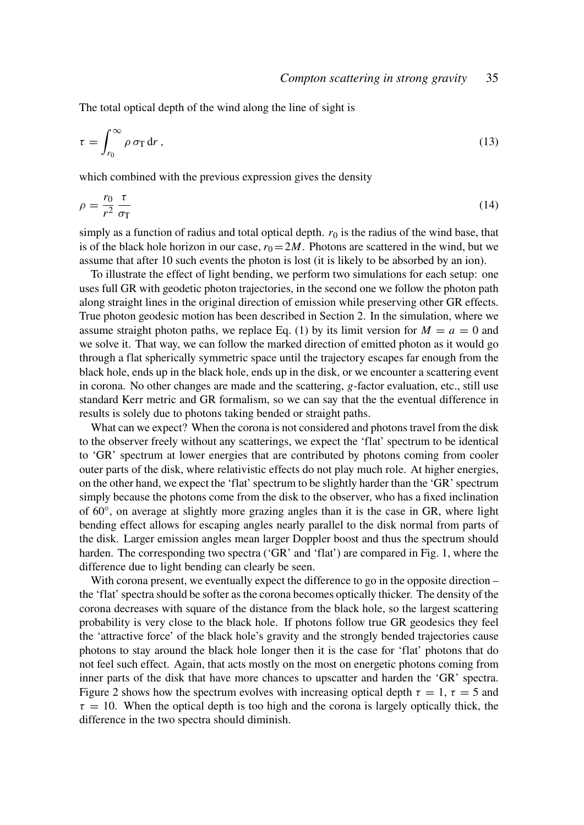The total optical depth of the wind along the line of sight is

$$
\tau = \int_{r_0}^{\infty} \rho \,\sigma_{\rm T} \,\mathrm{d}r \,,\tag{13}
$$

which combined with the previous expression gives the density

$$
\rho = \frac{r_0}{r^2} \frac{\tau}{\sigma_{\rm T}} \tag{14}
$$

simply as a function of radius and total optical depth.  $r_0$  is the radius of the wind base, that is of the black hole horizon in our case,  $r_0 = 2M$ . Photons are scattered in the wind, but we assume that after 10 such events the photon is lost (it is likely to be absorbed by an ion).

To illustrate the effect of light bending, we perform two simulations for each setup: one uses full GR with geodetic photon trajectories, in the second one we follow the photon path along straight lines in the original direction of emission while preserving other GR effects. True photon geodesic motion has been described in Section 2. In the simulation, where we assume straight photon paths, we replace Eq. (1) by its limit version for  $M = a = 0$  and we solve it. That way, we can follow the marked direction of emitted photon as it would go through a flat spherically symmetric space until the trajectory escapes far enough from the black hole, ends up in the black hole, ends up in the disk, or we encounter a scattering event in corona. No other changes are made and the scattering, *g*-factor evaluation, etc., still use standard Kerr metric and GR formalism, so we can say that the the eventual difference in results is solely due to photons taking bended or straight paths.

What can we expect? When the corona is not considered and photons travel from the disk to the observer freely without any scatterings, we expect the 'flat' spectrum to be identical to 'GR' spectrum at lower energies that are contributed by photons coming from cooler outer parts of the disk, where relativistic effects do not play much role. At higher energies, on the other hand, we expect the 'flat' spectrum to be slightly harder than the 'GR' spectrum simply because the photons come from the disk to the observer, who has a fixed inclination of 60°, on average at slightly more grazing angles than it is the case in GR, where light bending effect allows for escaping angles nearly parallel to the disk normal from parts of the disk. Larger emission angles mean larger Doppler boost and thus the spectrum should harden. The corresponding two spectra ('GR' and 'flat') are compared in Fig. 1, where the difference due to light bending can clearly be seen.

With corona present, we eventually expect the difference to go in the opposite direction – the 'flat' spectra should be softer as the corona becomes optically thicker. The density of the corona decreases with square of the distance from the black hole, so the largest scattering probability is very close to the black hole. If photons follow true GR geodesics they feel the 'attractive force' of the black hole's gravity and the strongly bended trajectories cause photons to stay around the black hole longer then it is the case for 'flat' photons that do not feel such effect. Again, that acts mostly on the most on energetic photons coming from inner parts of the disk that have more chances to upscatter and harden the 'GR' spectra. Figure 2 shows how the spectrum evolves with increasing optical depth  $\tau = 1$ ,  $\tau = 5$  and  $\tau = 10$ . When the optical depth is too high and the corona is largely optically thick, the difference in the two spectra should diminish.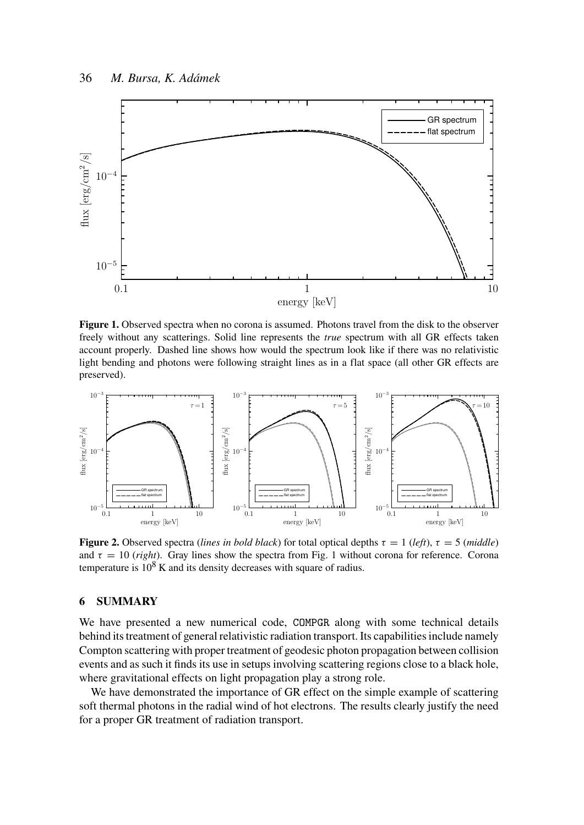

Figure 1. Observed spectra when no corona is assumed. Photons travel from the disk to the observer freely without any scatterings. Solid line represents the *true* spectrum with all GR effects taken account properly. Dashed line shows how would the spectrum look like if there was no relativistic light bending and photons were following straight lines as in a flat space (all other GR effects are preserved).



**Figure 2.** Observed spectra (*lines in bold black*) for total optical depths  $\tau = 1$  (*left*),  $\tau = 5$  (*middle*) and  $\tau = 10$  (*right*). Gray lines show the spectra from Fig. 1 without corona for reference. Corona temperature is  $10^8$  K and its density decreases with square of radius.

## 6 SUMMARY

We have presented a new numerical code, COMPGR along with some technical details behind its treatment of general relativistic radiation transport. Its capabilities include namely Compton scattering with proper treatment of geodesic photon propagation between collision events and as such it finds its use in setups involving scattering regions close to a black hole, where gravitational effects on light propagation play a strong role.

We have demonstrated the importance of GR effect on the simple example of scattering soft thermal photons in the radial wind of hot electrons. The results clearly justify the need for a proper GR treatment of radiation transport.